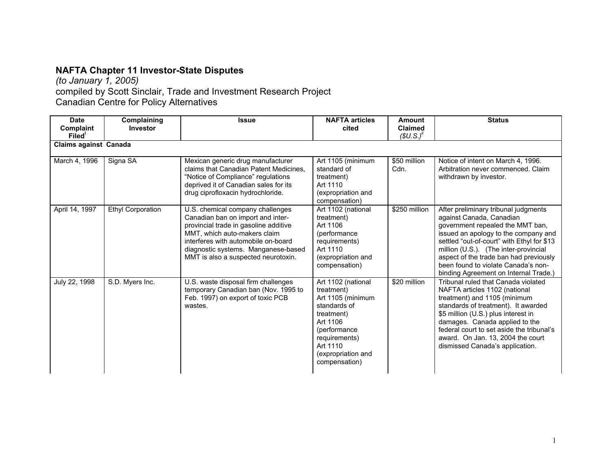## **NAFTA Chapter 11 Investor-State Disputes**

*(to January 1, 2005)*

compiled by Scott Sinclair, Trade and Investment Research Project

Canadian Centre for Policy Alternatives

| <b>Date</b><br><b>Complaint</b><br>Filed' | Complaining<br>Investor  | <b>Issue</b>                                                                                                                                                                                                                                                        | <b>NAFTA articles</b><br>cited                                                                                                                                                      | Amount<br><b>Claimed</b><br>$(SU.S.)^h$ | <b>Status</b>                                                                                                                                                                                                                                                                                                                                                 |
|-------------------------------------------|--------------------------|---------------------------------------------------------------------------------------------------------------------------------------------------------------------------------------------------------------------------------------------------------------------|-------------------------------------------------------------------------------------------------------------------------------------------------------------------------------------|-----------------------------------------|---------------------------------------------------------------------------------------------------------------------------------------------------------------------------------------------------------------------------------------------------------------------------------------------------------------------------------------------------------------|
| <b>Claims against Canada</b>              |                          |                                                                                                                                                                                                                                                                     |                                                                                                                                                                                     |                                         |                                                                                                                                                                                                                                                                                                                                                               |
| March 4, 1996                             | Signa SA                 | Mexican generic drug manufacturer<br>claims that Canadian Patent Medicines.<br>"Notice of Compliance" regulations<br>deprived it of Canadian sales for its<br>drug ciprofloxacin hydrochloride.                                                                     | Art 1105 (minimum<br>standard of<br>treatment)<br>Art 1110<br>(expropriation and<br>compensation)                                                                                   | \$50 million<br>Cdn.                    | Notice of intent on March 4, 1996.<br>Arbitration never commenced. Claim<br>withdrawn by investor.                                                                                                                                                                                                                                                            |
| April 14, 1997                            | <b>Ethyl Corporation</b> | U.S. chemical company challenges<br>Canadian ban on import and inter-<br>provincial trade in gasoline additive<br>MMT, which auto-makers claim<br>interferes with automobile on-board<br>diagnostic systems. Manganese-based<br>MMT is also a suspected neurotoxin. | Art 1102 (national<br>treatment)<br>Art 1106<br>(performance)<br>requirements)<br>Art 1110<br>(expropriation and<br>compensation)                                                   | \$250 million                           | After preliminary tribunal judgments<br>against Canada, Canadian<br>government repealed the MMT ban,<br>issued an apology to the company and<br>settled "out-of-court" with Ethyl for \$13<br>million (U.S.). (The inter-provincial<br>aspect of the trade ban had previously<br>been found to violate Canada's non-<br>binding Agreement on Internal Trade.) |
| July 22, 1998                             | S.D. Myers Inc.          | U.S. waste disposal firm challenges<br>temporary Canadian ban (Nov. 1995 to<br>Feb. 1997) on export of toxic PCB<br>wastes.                                                                                                                                         | Art 1102 (national<br>treatment)<br>Art 1105 (minimum<br>standards of<br>treatment)<br>Art 1106<br>(performance<br>requirements)<br>Art 1110<br>(expropriation and<br>compensation) | \$20 million                            | Tribunal ruled that Canada violated<br>NAFTA articles 1102 (national<br>treatment) and 1105 (minimum<br>standards of treatment). It awarded<br>\$5 million (U.S.) plus interest in<br>damages. Canada applied to the<br>federal court to set aside the tribunal's<br>award. On Jan. 13, 2004 the court<br>dismissed Canada's application.                     |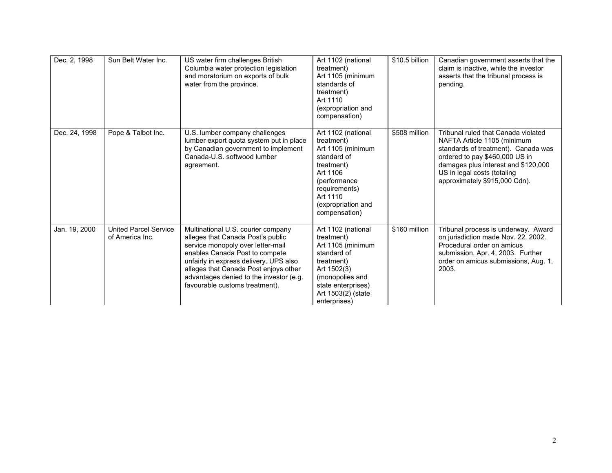| Dec. 2, 1998  | Sun Belt Water Inc.                             | US water firm challenges British<br>Columbia water protection legislation<br>and moratorium on exports of bulk<br>water from the province.                                                                                                                                                                     | Art 1102 (national<br>treatment)<br>Art 1105 (minimum<br>standards of<br>treatment)<br>Art 1110<br>(expropriation and<br>compensation)                                             | \$10.5 billion | Canadian government asserts that the<br>claim is inactive, while the investor<br>asserts that the tribunal process is<br>pending.                                                                                                                  |
|---------------|-------------------------------------------------|----------------------------------------------------------------------------------------------------------------------------------------------------------------------------------------------------------------------------------------------------------------------------------------------------------------|------------------------------------------------------------------------------------------------------------------------------------------------------------------------------------|----------------|----------------------------------------------------------------------------------------------------------------------------------------------------------------------------------------------------------------------------------------------------|
| Dec. 24, 1998 | Pope & Talbot Inc.                              | U.S. lumber company challenges<br>lumber export quota system put in place<br>by Canadian government to implement<br>Canada-U.S. softwood lumber<br>agreement.                                                                                                                                                  | Art 1102 (national<br>treatment)<br>Art 1105 (minimum<br>standard of<br>treatment)<br>Art 1106<br>(performance<br>requirements)<br>Art 1110<br>(expropriation and<br>compensation) | \$508 million  | Tribunal ruled that Canada violated<br>NAFTA Article 1105 (minimum<br>standards of treatment). Canada was<br>ordered to pay \$460,000 US in<br>damages plus interest and \$120,000<br>US in legal costs (totaling<br>approximately \$915,000 Cdn). |
| Jan. 19, 2000 | <b>United Parcel Service</b><br>of America Inc. | Multinational U.S. courier company<br>alleges that Canada Post's public<br>service monopoly over letter-mail<br>enables Canada Post to compete<br>unfairly in express delivery. UPS also<br>alleges that Canada Post enjoys other<br>advantages denied to the investor (e.g.<br>favourable customs treatment). | Art 1102 (national<br>treatment)<br>Art 1105 (minimum<br>standard of<br>treatment)<br>Art 1502(3)<br>(monopolies and<br>state enterprises)<br>Art 1503(2) (state<br>enterprises)   | \$160 million  | Tribunal process is underway. Award<br>on jurisdiction made Nov. 22, 2002.<br>Procedural order on amicus<br>submission, Apr. 4, 2003. Further<br>order on amicus submissions, Aug. 1,<br>2003.                                                     |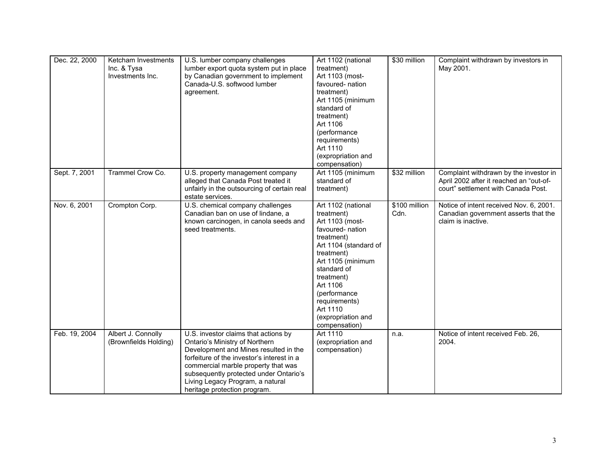| Dec. 22, 2000 | Ketcham Investments<br>Inc. & Tysa<br>Investments Inc. | U.S. lumber company challenges<br>lumber export quota system put in place<br>by Canadian government to implement<br>Canada-U.S. softwood lumber<br>agreement.                                                                                                                                                      | Art 1102 (national<br>treatment)<br>Art 1103 (most-<br>favoured-nation<br>treatment)<br>Art 1105 (minimum<br>standard of<br>treatment)<br>Art 1106<br>(performance<br>requirements)<br>Art 1110<br>(expropriation and<br>compensation)                                         | \$30 million          | Complaint withdrawn by investors in<br>May 2001.                                                                         |
|---------------|--------------------------------------------------------|--------------------------------------------------------------------------------------------------------------------------------------------------------------------------------------------------------------------------------------------------------------------------------------------------------------------|--------------------------------------------------------------------------------------------------------------------------------------------------------------------------------------------------------------------------------------------------------------------------------|-----------------------|--------------------------------------------------------------------------------------------------------------------------|
| Sept. 7, 2001 | Trammel Crow Co.                                       | U.S. property management company<br>alleged that Canada Post treated it<br>unfairly in the outsourcing of certain real<br>estate services.                                                                                                                                                                         | Art 1105 (minimum<br>standard of<br>treatment)                                                                                                                                                                                                                                 | \$32 million          | Complaint withdrawn by the investor in<br>April 2002 after it reached an "out-of-<br>court" settlement with Canada Post. |
| Nov. 6, 2001  | Crompton Corp.                                         | U.S. chemical company challenges<br>Canadian ban on use of lindane, a<br>known carcinogen, in canola seeds and<br>seed treatments.                                                                                                                                                                                 | Art 1102 (national<br>treatment)<br>Art 1103 (most-<br>favoured- nation<br>treatment)<br>Art 1104 (standard of<br>treatment)<br>Art 1105 (minimum<br>standard of<br>treatment)<br>Art 1106<br>(performance<br>requirements)<br>Art 1110<br>(expropriation and<br>compensation) | \$100 million<br>Cdn. | Notice of intent received Nov. 6, 2001.<br>Canadian government asserts that the<br>claim is inactive.                    |
| Feb. 19, 2004 | Albert J. Connolly<br>(Brownfields Holding)            | U.S. investor claims that actions by<br>Ontario's Ministry of Northern<br>Development and Mines resulted in the<br>forfeiture of the investor's interest in a<br>commercial marble property that was<br>subsequently protected under Ontario's<br>Living Legacy Program, a natural<br>heritage protection program. | Art 1110<br>(expropriation and<br>compensation)                                                                                                                                                                                                                                | n.a.                  | Notice of intent received Feb. 26,<br>2004.                                                                              |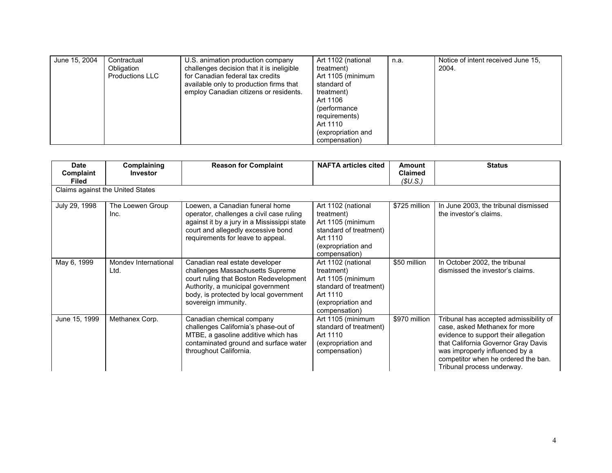| June 15, 2004 | Contractual<br>Obligation<br><b>Productions LLC</b> | U.S. animation production company<br>challenges decision that it is ineligible<br>for Canadian federal tax credits<br>available only to production firms that<br>employ Canadian citizens or residents. | Art 1102 (national<br>treatment)<br>Art 1105 (minimum<br>standard of<br>treatment)<br>Art 1106<br>(performance)<br>requirements)<br>Art 1110<br>(expropriation and<br>compensation) | n.a. | Notice of intent received June 15,<br>2004. |
|---------------|-----------------------------------------------------|---------------------------------------------------------------------------------------------------------------------------------------------------------------------------------------------------------|-------------------------------------------------------------------------------------------------------------------------------------------------------------------------------------|------|---------------------------------------------|
|---------------|-----------------------------------------------------|---------------------------------------------------------------------------------------------------------------------------------------------------------------------------------------------------------|-------------------------------------------------------------------------------------------------------------------------------------------------------------------------------------|------|---------------------------------------------|

| <b>Date</b><br>Complaint<br><b>Filed</b> | Complaining<br><b>Investor</b>   | <b>Reason for Complaint</b>                                                                                                                                                                                        | <b>NAFTA articles cited</b>                                                                                                        | Amount<br><b>Claimed</b><br>(SU.S.) | <b>Status</b>                                                                                                                                                                                                                                                 |
|------------------------------------------|----------------------------------|--------------------------------------------------------------------------------------------------------------------------------------------------------------------------------------------------------------------|------------------------------------------------------------------------------------------------------------------------------------|-------------------------------------|---------------------------------------------------------------------------------------------------------------------------------------------------------------------------------------------------------------------------------------------------------------|
|                                          | Claims against the United States |                                                                                                                                                                                                                    |                                                                                                                                    |                                     |                                                                                                                                                                                                                                                               |
| July 29, 1998                            | The Loewen Group<br>Inc.         | Loewen, a Canadian funeral home<br>operator, challenges a civil case ruling<br>against it by a jury in a Mississippi state<br>court and allegedly excessive bond<br>requirements for leave to appeal.              | Art 1102 (national<br>treatment)<br>Art 1105 (minimum<br>standard of treatment)<br>Art 1110<br>(expropriation and<br>compensation) | \$725 million                       | In June 2003, the tribunal dismissed<br>the investor's claims.                                                                                                                                                                                                |
| May 6, 1999                              | Mondey International<br>Ltd.     | Canadian real estate developer<br>challenges Massachusetts Supreme<br>court ruling that Boston Redevelopment<br>Authority, a municipal government<br>body, is protected by local government<br>sovereign immunity. | Art 1102 (national<br>treatment)<br>Art 1105 (minimum<br>standard of treatment)<br>Art 1110<br>(expropriation and<br>compensation) | \$50 million                        | In October 2002, the tribunal<br>dismissed the investor's claims.                                                                                                                                                                                             |
| June 15, 1999                            | Methanex Corp.                   | Canadian chemical company<br>challenges California's phase-out of<br>MTBE, a gasoline additive which has<br>contaminated ground and surface water<br>throughout California.                                        | Art 1105 (minimum<br>standard of treatment)<br>Art 1110<br>(expropriation and<br>compensation)                                     | \$970 million                       | Tribunal has accepted admissibility of<br>case, asked Methanex for more<br>evidence to support their allegation<br>that California Governor Gray Davis<br>was improperly influenced by a<br>competitor when he ordered the ban.<br>Tribunal process underway. |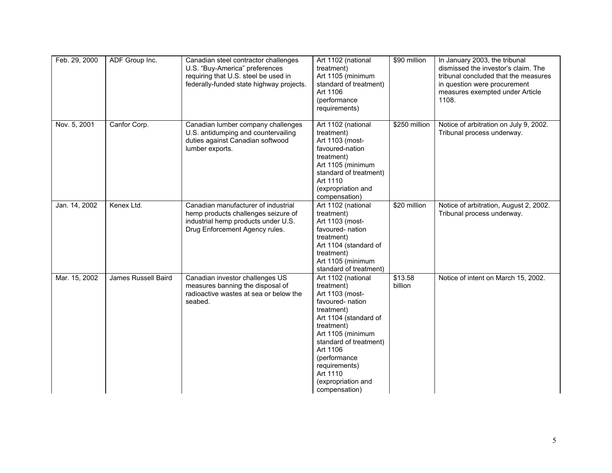| Feb. 29, 2000 | ADF Group Inc.      | Canadian steel contractor challenges<br>U.S. "Buy-America" preferences<br>requiring that U.S. steel be used in<br>federally-funded state highway projects. | Art 1102 (national<br>treatment)<br>Art 1105 (minimum<br>standard of treatment)<br>Art 1106<br>(performance<br>requirements)                                                                                                                                                | \$90 million       | In January 2003, the tribunal<br>dismissed the investor's claim. The<br>tribunal concluded that the measures<br>in question were procurement<br>measures exempted under Article<br>1108. |
|---------------|---------------------|------------------------------------------------------------------------------------------------------------------------------------------------------------|-----------------------------------------------------------------------------------------------------------------------------------------------------------------------------------------------------------------------------------------------------------------------------|--------------------|------------------------------------------------------------------------------------------------------------------------------------------------------------------------------------------|
| Nov. 5, 2001  | Canfor Corp.        | Canadian lumber company challenges<br>U.S. antidumping and countervailing<br>duties against Canadian softwood<br>lumber exports.                           | Art 1102 (national<br>treatment)<br>Art 1103 (most-<br>favoured-nation<br>treatment)<br>Art 1105 (minimum<br>standard of treatment)<br>Art 1110<br>(expropriation and<br>compensation)                                                                                      | \$250 million      | Notice of arbitration on July 9, 2002.<br>Tribunal process underway.                                                                                                                     |
| Jan. 14, 2002 | Kenex Ltd.          | Canadian manufacturer of industrial<br>hemp products challenges seizure of<br>industrial hemp products under U.S.<br>Drug Enforcement Agency rules.        | Art 1102 (national<br>treatment)<br>Art 1103 (most-<br>favoured- nation<br>treatment)<br>Art 1104 (standard of<br>treatment)<br>Art 1105 (minimum<br>standard of treatment)                                                                                                 | \$20 million       | Notice of arbitration, August 2, 2002.<br>Tribunal process underway.                                                                                                                     |
| Mar. 15, 2002 | James Russell Baird | Canadian investor challenges US<br>measures banning the disposal of<br>radioactive wastes at sea or below the<br>seabed.                                   | Art 1102 (national<br>treatment)<br>Art 1103 (most-<br>favoured- nation<br>treatment)<br>Art 1104 (standard of<br>treatment)<br>Art 1105 (minimum<br>standard of treatment)<br>Art 1106<br>(performance<br>requirements)<br>Art 1110<br>(expropriation and<br>compensation) | \$13.58<br>billion | Notice of intent on March 15, 2002.                                                                                                                                                      |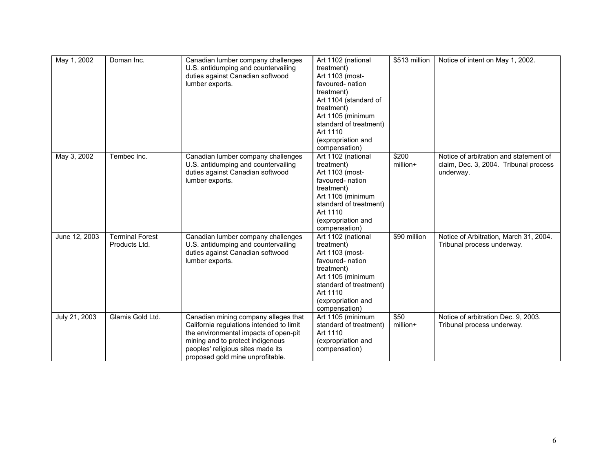| May 1, 2002   | Doman Inc.             | Canadian lumber company challenges       | Art 1102 (national     | \$513 million | Notice of intent on May 1, 2002.       |
|---------------|------------------------|------------------------------------------|------------------------|---------------|----------------------------------------|
|               |                        | U.S. antidumping and countervailing      | treatment)             |               |                                        |
|               |                        | duties against Canadian softwood         | Art 1103 (most-        |               |                                        |
|               |                        | lumber exports.                          | favoured-nation        |               |                                        |
|               |                        |                                          | treatment)             |               |                                        |
|               |                        |                                          | Art 1104 (standard of  |               |                                        |
|               |                        |                                          | treatment)             |               |                                        |
|               |                        |                                          | Art 1105 (minimum      |               |                                        |
|               |                        |                                          | standard of treatment) |               |                                        |
|               |                        |                                          | Art 1110               |               |                                        |
|               |                        |                                          | (expropriation and     |               |                                        |
|               |                        |                                          | compensation)          |               |                                        |
| May 3, 2002   | Tembec Inc.            | Canadian lumber company challenges       | Art 1102 (national     | \$200         | Notice of arbitration and statement of |
|               |                        | U.S. antidumping and countervailing      | treatment)             | million+      | claim, Dec. 3, 2004. Tribunal process  |
|               |                        | duties against Canadian softwood         | Art 1103 (most-        |               | underway.                              |
|               |                        | lumber exports.                          | favoured-nation        |               |                                        |
|               |                        |                                          | treatment)             |               |                                        |
|               |                        |                                          | Art 1105 (minimum      |               |                                        |
|               |                        |                                          | standard of treatment) |               |                                        |
|               |                        |                                          | Art 1110               |               |                                        |
|               |                        |                                          | (expropriation and     |               |                                        |
|               |                        |                                          | compensation)          |               |                                        |
| June 12, 2003 | <b>Terminal Forest</b> | Canadian lumber company challenges       | Art 1102 (national     | \$90 million  | Notice of Arbitration, March 31, 2004. |
|               | Products Ltd.          | U.S. antidumping and countervailing      | treatment)             |               | Tribunal process underway.             |
|               |                        | duties against Canadian softwood         | Art 1103 (most-        |               |                                        |
|               |                        | lumber exports.                          | favoured-nation        |               |                                        |
|               |                        |                                          | treatment)             |               |                                        |
|               |                        |                                          | Art 1105 (minimum      |               |                                        |
|               |                        |                                          | standard of treatment) |               |                                        |
|               |                        |                                          | Art 1110               |               |                                        |
|               |                        |                                          | (expropriation and     |               |                                        |
|               |                        |                                          | compensation)          |               |                                        |
| July 21, 2003 | Glamis Gold Ltd.       | Canadian mining company alleges that     | Art 1105 (minimum      | \$50          | Notice of arbitration Dec. 9, 2003.    |
|               |                        | California regulations intended to limit | standard of treatment) | million+      | Tribunal process underway.             |
|               |                        | the environmental impacts of open-pit    | Art 1110               |               |                                        |
|               |                        | mining and to protect indigenous         | (expropriation and     |               |                                        |
|               |                        | peoples' religious sites made its        | compensation)          |               |                                        |
|               |                        | proposed gold mine unprofitable.         |                        |               |                                        |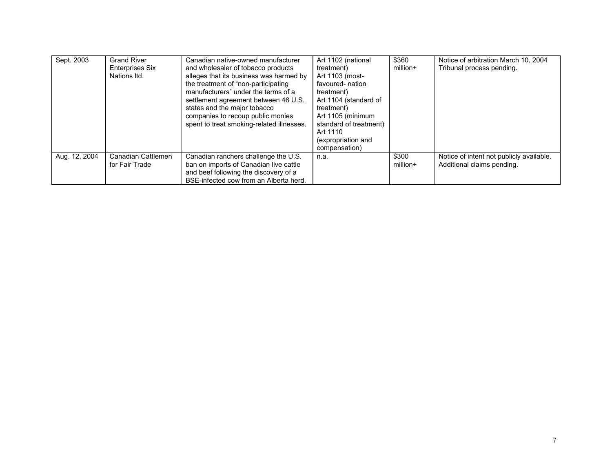| Sept. 2003    | <b>Grand River</b><br><b>Enterprises Six</b><br>Nations Itd. | Canadian native-owned manufacturer<br>and wholesaler of tobacco products<br>alleges that its business was harmed by<br>the treatment of "non-participating"<br>manufacturers" under the terms of a<br>settlement agreement between 46 U.S.<br>states and the major tobacco<br>companies to recoup public monies<br>spent to treat smoking-related illnesses. | Art 1102 (national<br>treatment)<br>Art 1103 (most-<br>favoured- nation<br>treatment)<br>Art 1104 (standard of<br>treatment)<br>Art 1105 (minimum<br>standard of treatment)<br>Art 1110<br>(expropriation and<br>compensation) | \$360<br>million+ | Notice of arbitration March 10, 2004<br>Tribunal process pending.      |
|---------------|--------------------------------------------------------------|--------------------------------------------------------------------------------------------------------------------------------------------------------------------------------------------------------------------------------------------------------------------------------------------------------------------------------------------------------------|--------------------------------------------------------------------------------------------------------------------------------------------------------------------------------------------------------------------------------|-------------------|------------------------------------------------------------------------|
| Aug. 12, 2004 | Canadian Cattlemen<br>for Fair Trade                         | Canadian ranchers challenge the U.S.<br>ban on imports of Canadian live cattle<br>and beef following the discovery of a<br>BSE-infected cow from an Alberta herd.                                                                                                                                                                                            | n.a.                                                                                                                                                                                                                           | \$300<br>million+ | Notice of intent not publicly available.<br>Additional claims pending. |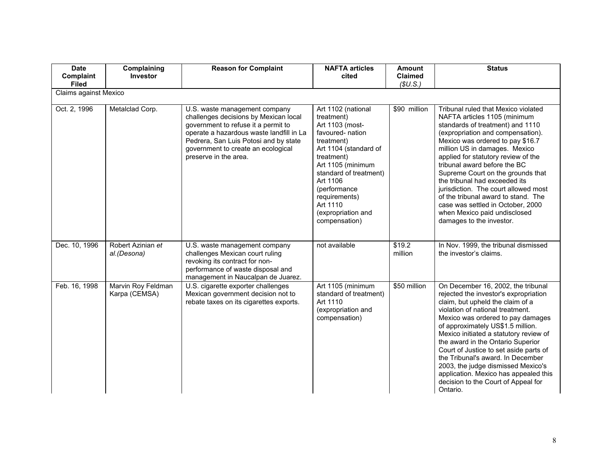| <b>Date</b><br>Complaint<br><b>Filed</b> | Complaining<br><b>Investor</b>      | <b>Reason for Complaint</b>                                                                                                                                                                                                                                       | <b>NAFTA articles</b><br>cited                                                                                                                                                                                                                                             | <b>Amount</b><br>Claimed<br>(SU.S.) | <b>Status</b>                                                                                                                                                                                                                                                                                                                                                                                                                                                                                                                                  |
|------------------------------------------|-------------------------------------|-------------------------------------------------------------------------------------------------------------------------------------------------------------------------------------------------------------------------------------------------------------------|----------------------------------------------------------------------------------------------------------------------------------------------------------------------------------------------------------------------------------------------------------------------------|-------------------------------------|------------------------------------------------------------------------------------------------------------------------------------------------------------------------------------------------------------------------------------------------------------------------------------------------------------------------------------------------------------------------------------------------------------------------------------------------------------------------------------------------------------------------------------------------|
| Claims against Mexico                    |                                     |                                                                                                                                                                                                                                                                   |                                                                                                                                                                                                                                                                            |                                     |                                                                                                                                                                                                                                                                                                                                                                                                                                                                                                                                                |
| Oct. 2, 1996                             | Metalclad Corp.                     | U.S. waste management company<br>challenges decisions by Mexican local<br>government to refuse it a permit to<br>operate a hazardous waste landfill in La<br>Pedrera, San Luis Potosi and by state<br>government to create an ecological<br>preserve in the area. | Art 1102 (national<br>treatment)<br>Art 1103 (most-<br>favoured-nation<br>treatment)<br>Art 1104 (standard of<br>treatment)<br>Art 1105 (minimum<br>standard of treatment)<br>Art 1106<br>(performance<br>requirements)<br>Art 1110<br>(expropriation and<br>compensation) | \$90 million                        | Tribunal ruled that Mexico violated<br>NAFTA articles 1105 (minimum<br>standards of treatment) and 1110<br>(expropriation and compensation).<br>Mexico was ordered to pay \$16.7<br>million US in damages. Mexico<br>applied for statutory review of the<br>tribunal award before the BC<br>Supreme Court on the grounds that<br>the tribunal had exceeded its<br>jurisdiction. The court allowed most<br>of the tribunal award to stand. The<br>case was settled in October, 2000<br>when Mexico paid undisclosed<br>damages to the investor. |
| Dec. 10, 1996                            | Robert Azinian et<br>al.(Desona)    | U.S. waste management company<br>challenges Mexican court ruling<br>revoking its contract for non-<br>performance of waste disposal and<br>management in Naucalpan de Juarez.                                                                                     | not available                                                                                                                                                                                                                                                              | \$19.2<br>million                   | In Nov. 1999, the tribunal dismissed<br>the investor's claims.                                                                                                                                                                                                                                                                                                                                                                                                                                                                                 |
| Feb. 16, 1998                            | Marvin Roy Feldman<br>Karpa (CEMSA) | U.S. cigarette exporter challenges<br>Mexican government decision not to<br>rebate taxes on its cigarettes exports.                                                                                                                                               | Art 1105 (minimum<br>standard of treatment)<br>Art 1110<br>(expropriation and<br>compensation)                                                                                                                                                                             | \$50 million                        | On December 16, 2002, the tribunal<br>rejected the investor's expropriation<br>claim, but upheld the claim of a<br>violation of national treatment.<br>Mexico was ordered to pay damages<br>of approximately US\$1.5 million.<br>Mexico initiated a statutory review of<br>the award in the Ontario Superior<br>Court of Justice to set aside parts of<br>the Tribunal's award. In December<br>2003, the judge dismissed Mexico's<br>application. Mexico has appealed this<br>decision to the Court of Appeal for<br>Ontario.                  |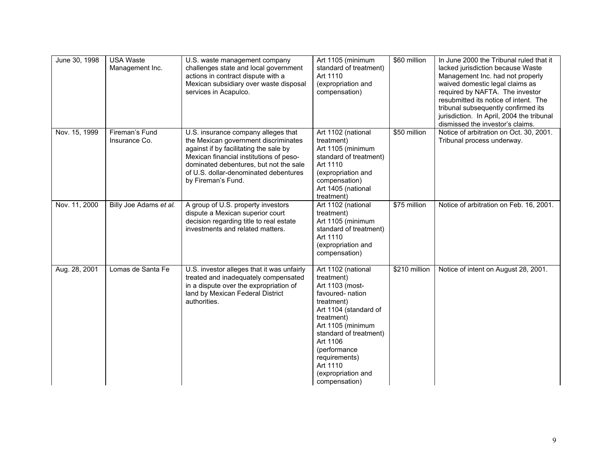| June 30, 1998 | <b>USA Waste</b><br>Management Inc. | U.S. waste management company<br>challenges state and local government<br>actions in contract dispute with a<br>Mexican subsidiary over waste disposal<br>services in Acapulco.                                                                                           | Art 1105 (minimum<br>standard of treatment)<br>Art 1110<br>(expropriation and<br>compensation)                                                                                                                                                                              | \$60 million  | In June 2000 the Tribunal ruled that it<br>lacked jurisdiction because Waste<br>Management Inc. had not properly<br>waived domestic legal claims as<br>required by NAFTA. The investor<br>resubmitted its notice of intent. The<br>tribunal subsequently confirmed its<br>jurisdiction. In April, 2004 the tribunal<br>dismissed the investor's claims. |
|---------------|-------------------------------------|---------------------------------------------------------------------------------------------------------------------------------------------------------------------------------------------------------------------------------------------------------------------------|-----------------------------------------------------------------------------------------------------------------------------------------------------------------------------------------------------------------------------------------------------------------------------|---------------|---------------------------------------------------------------------------------------------------------------------------------------------------------------------------------------------------------------------------------------------------------------------------------------------------------------------------------------------------------|
| Nov. 15, 1999 | Fireman's Fund<br>Insurance Co.     | U.S. insurance company alleges that<br>the Mexican government discriminates<br>against if by facilitating the sale by<br>Mexican financial institutions of peso-<br>dominated debentures, but not the sale<br>of U.S. dollar-denominated debentures<br>by Fireman's Fund. | Art 1102 (national<br>treatment)<br>Art 1105 (minimum<br>standard of treatment)<br>Art 1110<br>(expropriation and<br>compensation)<br>Art 1405 (national<br>treatment)                                                                                                      | \$50 million  | Notice of arbitration on Oct. 30, 2001.<br>Tribunal process underway.                                                                                                                                                                                                                                                                                   |
| Nov. 11, 2000 | Billy Joe Adams et al.              | A group of U.S. property investors<br>dispute a Mexican superior court<br>decision regarding title to real estate<br>investments and related matters.                                                                                                                     | Art 1102 (national<br>treatment)<br>Art 1105 (minimum<br>standard of treatment)<br>Art 1110<br>(expropriation and<br>compensation)                                                                                                                                          | \$75 million  | Notice of arbitration on Feb. 16, 2001.                                                                                                                                                                                                                                                                                                                 |
| Aug. 28, 2001 | Lomas de Santa Fe                   | U.S. investor alleges that it was unfairly<br>treated and inadequately compensated<br>in a dispute over the expropriation of<br>land by Mexican Federal District<br>authorities.                                                                                          | Art 1102 (national<br>treatment)<br>Art 1103 (most-<br>favoured- nation<br>treatment)<br>Art 1104 (standard of<br>treatment)<br>Art 1105 (minimum<br>standard of treatment)<br>Art 1106<br>(performance<br>requirements)<br>Art 1110<br>(expropriation and<br>compensation) | \$210 million | Notice of intent on August 28, 2001.                                                                                                                                                                                                                                                                                                                    |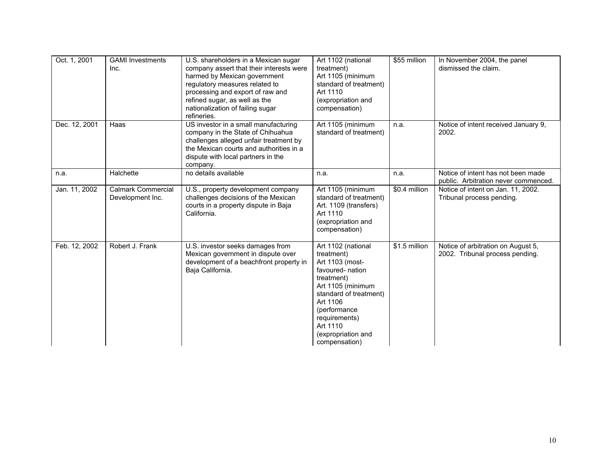| Oct. 1, 2001  | <b>GAMI</b> Investments<br>Inc.               | U.S. shareholders in a Mexican sugar<br>company assert that their interests were<br>harmed by Mexican government<br>regulatory measures related to<br>processing and export of raw and<br>refined sugar, as well as the<br>nationalization of failing sugar<br>refineries. | Art 1102 (national<br>treatment)<br>Art 1105 (minimum<br>standard of treatment)<br>Art 1110<br>(expropriation and<br>compensation)                                                                                                  | \$55 million  | In November 2004, the panel<br>dismissed the claim.                        |
|---------------|-----------------------------------------------|----------------------------------------------------------------------------------------------------------------------------------------------------------------------------------------------------------------------------------------------------------------------------|-------------------------------------------------------------------------------------------------------------------------------------------------------------------------------------------------------------------------------------|---------------|----------------------------------------------------------------------------|
| Dec. 12, 2001 | Haas                                          | US investor in a small manufacturing<br>company in the State of Chihuahua<br>challenges alleged unfair treatment by<br>the Mexican courts and authorities in a<br>dispute with local partners in the<br>company.                                                           | Art 1105 (minimum<br>standard of treatment)                                                                                                                                                                                         | n.a.          | Notice of intent received January 9,<br>2002.                              |
| n.a.          | Halchette                                     | no details available                                                                                                                                                                                                                                                       | n.a.                                                                                                                                                                                                                                | n.a.          | Notice of intent has not been made<br>public. Arbitration never commenced. |
| Jan. 11, 2002 | <b>Calmark Commercial</b><br>Development Inc. | U.S., property development company<br>challenges decisions of the Mexican<br>courts in a property dispute in Baja<br>California.                                                                                                                                           | Art 1105 (minimum<br>standard of treatment)<br>Art. 1109 (transfers)<br>Art 1110<br>(expropriation and<br>compensation)                                                                                                             | \$0.4 million | Notice of intent on Jan. 11, 2002.<br>Tribunal process pending.            |
| Feb. 12, 2002 | Robert J. Frank                               | U.S. investor seeks damages from<br>Mexican government in dispute over<br>development of a beachfront property in<br>Baja California.                                                                                                                                      | Art 1102 (national<br>treatment)<br>Art 1103 (most-<br>favoured-nation<br>treatment)<br>Art 1105 (minimum<br>standard of treatment)<br>Art 1106<br>(performance<br>requirements)<br>Art 1110<br>(expropriation and<br>compensation) | \$1.5 million | Notice of arbitration on August 5,<br>2002. Tribunal process pending.      |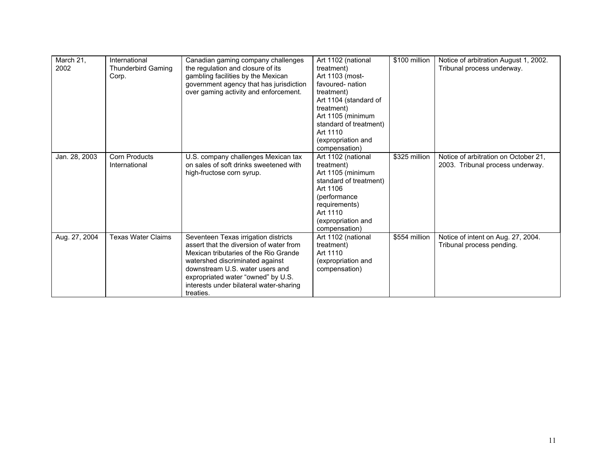| March 21,<br>2002 | International<br><b>Thunderbird Gaming</b><br>Corp. | Canadian gaming company challenges<br>the regulation and closure of its<br>gambling facilities by the Mexican<br>government agency that has jurisdiction<br>over gaming activity and enforcement.                                                                                            | Art 1102 (national<br>treatment)<br>Art 1103 (most-<br>favoured- nation<br>treatment)<br>Art 1104 (standard of<br>treatment)<br>Art 1105 (minimum<br>standard of treatment)<br>Art 1110<br>(expropriation and<br>compensation) | \$100 million | Notice of arbitration August 1, 2002.<br>Tribunal process underway.      |
|-------------------|-----------------------------------------------------|----------------------------------------------------------------------------------------------------------------------------------------------------------------------------------------------------------------------------------------------------------------------------------------------|--------------------------------------------------------------------------------------------------------------------------------------------------------------------------------------------------------------------------------|---------------|--------------------------------------------------------------------------|
| Jan. 28, 2003     | <b>Corn Products</b><br>International               | U.S. company challenges Mexican tax<br>on sales of soft drinks sweetened with<br>high-fructose corn syrup.                                                                                                                                                                                   | Art 1102 (national<br>treatment)<br>Art 1105 (minimum<br>standard of treatment)<br>Art 1106<br>(performance<br>requirements)<br>Art 1110<br>(expropriation and<br>compensation)                                                | \$325 million | Notice of arbitration on October 21,<br>2003. Tribunal process underway. |
| Aug. 27, 2004     | <b>Texas Water Claims</b>                           | Seventeen Texas irrigation districts<br>assert that the diversion of water from<br>Mexican tributaries of the Rio Grande<br>watershed discriminated against<br>downstream U.S. water users and<br>expropriated water "owned" by U.S.<br>interests under bilateral water-sharing<br>treaties. | Art 1102 (national<br>treatment)<br>Art 1110<br>(expropriation and<br>compensation)                                                                                                                                            | \$554 million | Notice of intent on Aug. 27, 2004.<br>Tribunal process pending.          |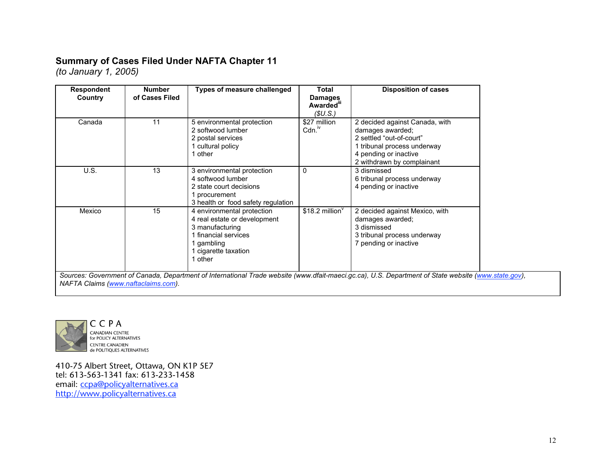## **Summary of Cases Filed Under NAFTA Chapter 11**

*(to January 1, 2005)*

| <b>Respondent</b><br>Country | <b>Number</b><br>of Cases Filed | <b>Types of measure challenged</b>                                                                                                                   | <b>Total</b><br><b>Damages</b><br>Awarded <sup>"</sup><br>(SU.S.) | <b>Disposition of cases</b>                                                                                                                                          |
|------------------------------|---------------------------------|------------------------------------------------------------------------------------------------------------------------------------------------------|-------------------------------------------------------------------|----------------------------------------------------------------------------------------------------------------------------------------------------------------------|
| Canada                       | 11                              | 5 environmental protection<br>2 softwood lumber<br>2 postal services<br>1 cultural policy<br>other                                                   | \$27 million<br>Cdn. <sup>iv</sup>                                | 2 decided against Canada, with<br>damages awarded;<br>2 settled "out-of-court"<br>1 tribunal process underway<br>4 pending or inactive<br>2 withdrawn by complainant |
| U.S.                         | 13                              | 3 environmental protection<br>4 softwood lumber<br>2 state court decisions<br>1 procurement<br>3 health or food safety regulation                    | $\mathbf{0}$                                                      | 3 dismissed<br>6 tribunal process underway<br>4 pending or inactive                                                                                                  |
| Mexico                       | 15                              | 4 environmental protection<br>4 real estate or development<br>3 manufacturing<br>1 financial services<br>gambling<br>1 cigarette taxation<br>1 other | \$18.2 million $9$                                                | 2 decided against Mexico, with<br>damages awarded;<br>3 dismissed<br>3 tribunal process underway<br>7 pending or inactive                                            |

*NAFTA Claims (www.naftaclaims.com).*



**CANADIAN CENTRE<br>for POLICY ALTERNATIVES** CENTRE CANADIEN<br>de POLITIQUES ALTERNATIVES

410-75 Albert Street, Ottawa, ON K1P 5E7 tel: 613-563-1341 fax: 613-233-1458 email: ccpa@policyalternatives.ca http://www.policyalternatives.ca